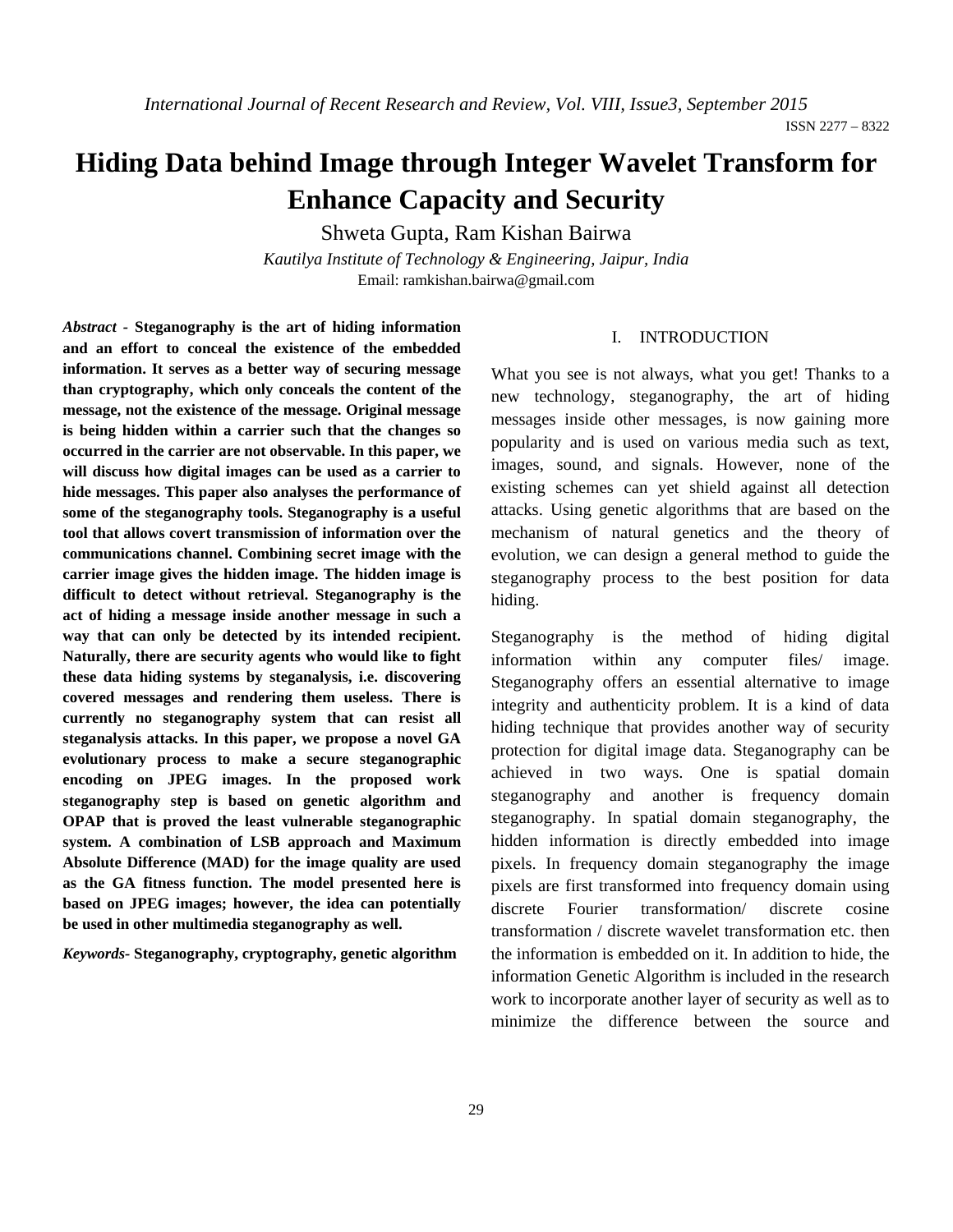# **Hiding Data behind Image through Integer Wavelet Transform for Enhance Capacity and Security**

Shweta Gupta, Ram Kishan Bairwa

*Kautilya Institute of Technology & Engineering, Jaipur, India*  Email: ramkishan.bairwa@gmail.com

*Abstract -* **Steganography is the art of hiding information and an effort to conceal the existence of the embedded information. It serves as a better way of securing message than cryptography, which only conceals the content of the message, not the existence of the message. Original message is being hidden within a carrier such that the changes so occurred in the carrier are not observable. In this paper, we will discuss how digital images can be used as a carrier to hide messages. This paper also analyses the performance of some of the steganography tools. Steganography is a useful tool that allows covert transmission of information over the communications channel. Combining secret image with the carrier image gives the hidden image. The hidden image is difficult to detect without retrieval. Steganography is the act of hiding a message inside another message in such a way that can only be detected by its intended recipient. Naturally, there are security agents who would like to fight these data hiding systems by steganalysis, i.e. discovering covered messages and rendering them useless. There is currently no steganography system that can resist all steganalysis attacks. In this paper, we propose a novel GA evolutionary process to make a secure steganographic encoding on JPEG images. In the proposed work steganography step is based on genetic algorithm and OPAP that is proved the least vulnerable steganographic system. A combination of LSB approach and Maximum Absolute Difference (MAD) for the image quality are used as the GA fitness function. The model presented here is based on JPEG images; however, the idea can potentially be used in other multimedia steganography as well.** 

*Keywords-* **Steganography, cryptography, genetic algorithm**

## I. INTRODUCTION

What you see is not always, what you get! Thanks to a new technology, steganography, the art of hiding messages inside other messages, is now gaining more popularity and is used on various media such as text, images, sound, and signals. However, none of the existing schemes can yet shield against all detection attacks. Using genetic algorithms that are based on the mechanism of natural genetics and the theory of evolution, we can design a general method to guide the steganography process to the best position for data hiding.

Steganography is the method of hiding digital information within any computer files/ image. Steganography offers an essential alternative to image integrity and authenticity problem. It is a kind of data hiding technique that provides another way of security protection for digital image data. Steganography can be achieved in two ways. One is spatial domain steganography and another is frequency domain steganography. In spatial domain steganography, the hidden information is directly embedded into image pixels. In frequency domain steganography the image pixels are first transformed into frequency domain using discrete Fourier transformation/ discrete cosine transformation / discrete wavelet transformation etc. then the information is embedded on it. In addition to hide, the information Genetic Algorithm is included in the research work to incorporate another layer of security as well as to minimize the difference between the source and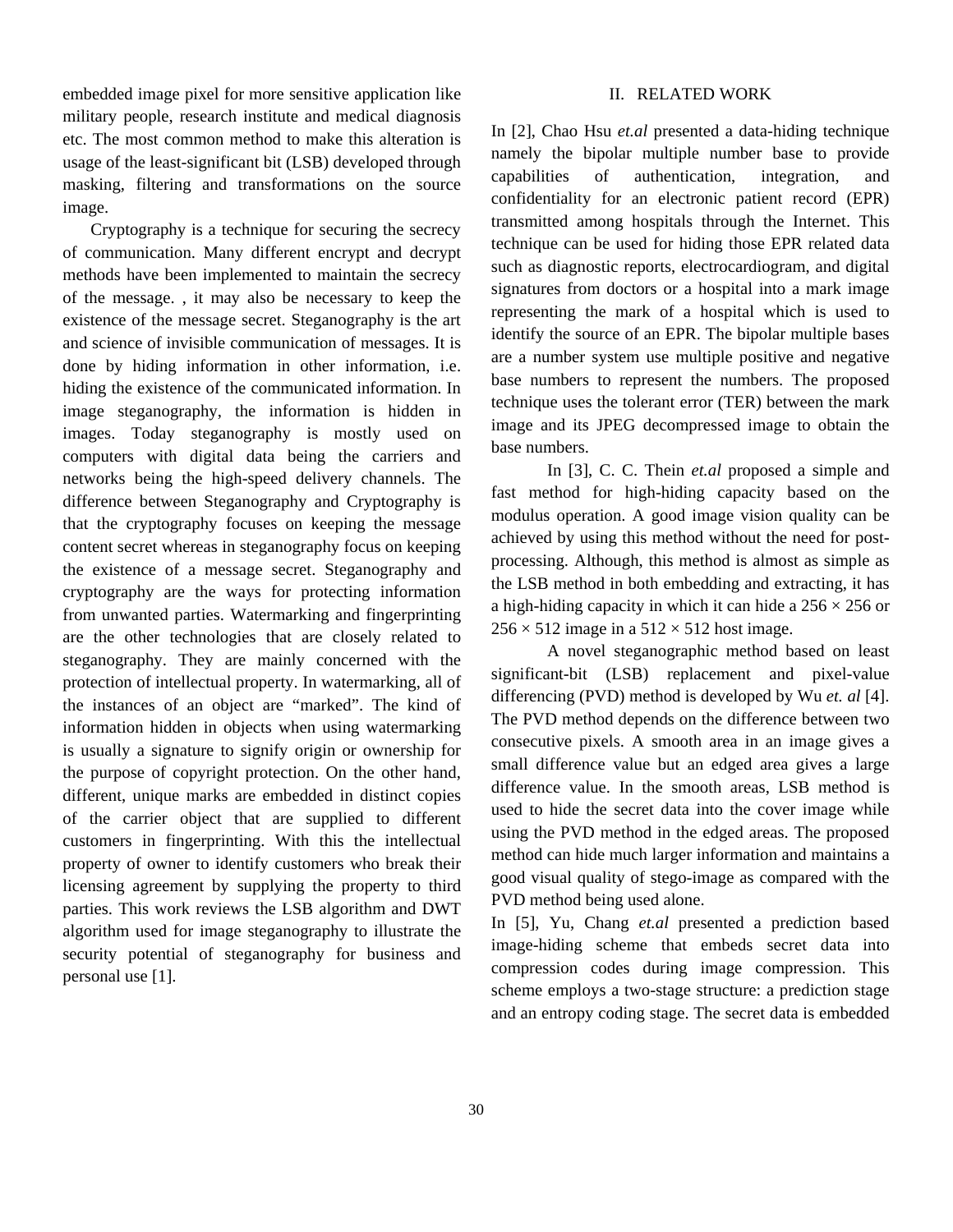embedded image pixel for more sensitive application like military people, research institute and medical diagnosis etc. The most common method to make this alteration is usage of the least-significant bit (LSB) developed through masking, filtering and transformations on the source image.

Cryptography is a technique for securing the secrecy of communication. Many different encrypt and decrypt methods have been implemented to maintain the secrecy of the message. , it may also be necessary to keep the existence of the message secret. Steganography is the art and science of invisible communication of messages. It is done by hiding information in other information, i.e. hiding the existence of the communicated information. In image steganography, the information is hidden in images. Today steganography is mostly used on computers with digital data being the carriers and networks being the high-speed delivery channels. The difference between Steganography and Cryptography is that the cryptography focuses on keeping the message content secret whereas in steganography focus on keeping the existence of a message secret. Steganography and cryptography are the ways for protecting information from unwanted parties. Watermarking and fingerprinting are the other technologies that are closely related to steganography. They are mainly concerned with the protection of intellectual property. In watermarking, all of the instances of an object are "marked". The kind of information hidden in objects when using watermarking is usually a signature to signify origin or ownership for the purpose of copyright protection. On the other hand, different, unique marks are embedded in distinct copies of the carrier object that are supplied to different customers in fingerprinting. With this the intellectual property of owner to identify customers who break their licensing agreement by supplying the property to third parties. This work reviews the LSB algorithm and DWT algorithm used for image steganography to illustrate the security potential of steganography for business and personal use [1].

### II. RELATED WORK

In [2], Chao Hsu *et.al* presented a data-hiding technique namely the bipolar multiple number base to provide capabilities of authentication, integration, and confidentiality for an electronic patient record (EPR) transmitted among hospitals through the Internet. This technique can be used for hiding those EPR related data such as diagnostic reports, electrocardiogram, and digital signatures from doctors or a hospital into a mark image representing the mark of a hospital which is used to identify the source of an EPR. The bipolar multiple bases are a number system use multiple positive and negative base numbers to represent the numbers. The proposed technique uses the tolerant error (TER) between the mark image and its JPEG decompressed image to obtain the base numbers.

In [3], C. C. Thein *et.al* proposed a simple and fast method for high-hiding capacity based on the modulus operation. A good image vision quality can be achieved by using this method without the need for postprocessing. Although, this method is almost as simple as the LSB method in both embedding and extracting, it has a high-hiding capacity in which it can hide a  $256 \times 256$  or  $256 \times 512$  image in a  $512 \times 512$  host image.

A novel steganographic method based on least significant-bit (LSB) replacement and pixel-value differencing (PVD) method is developed by Wu *et. al* [4]. The PVD method depends on the difference between two consecutive pixels. A smooth area in an image gives a small difference value but an edged area gives a large difference value. In the smooth areas, LSB method is used to hide the secret data into the cover image while using the PVD method in the edged areas. The proposed method can hide much larger information and maintains a good visual quality of stego-image as compared with the PVD method being used alone.

In [5], Yu, Chang *et.al* presented a prediction based image-hiding scheme that embeds secret data into compression codes during image compression. This scheme employs a two-stage structure: a prediction stage and an entropy coding stage. The secret data is embedded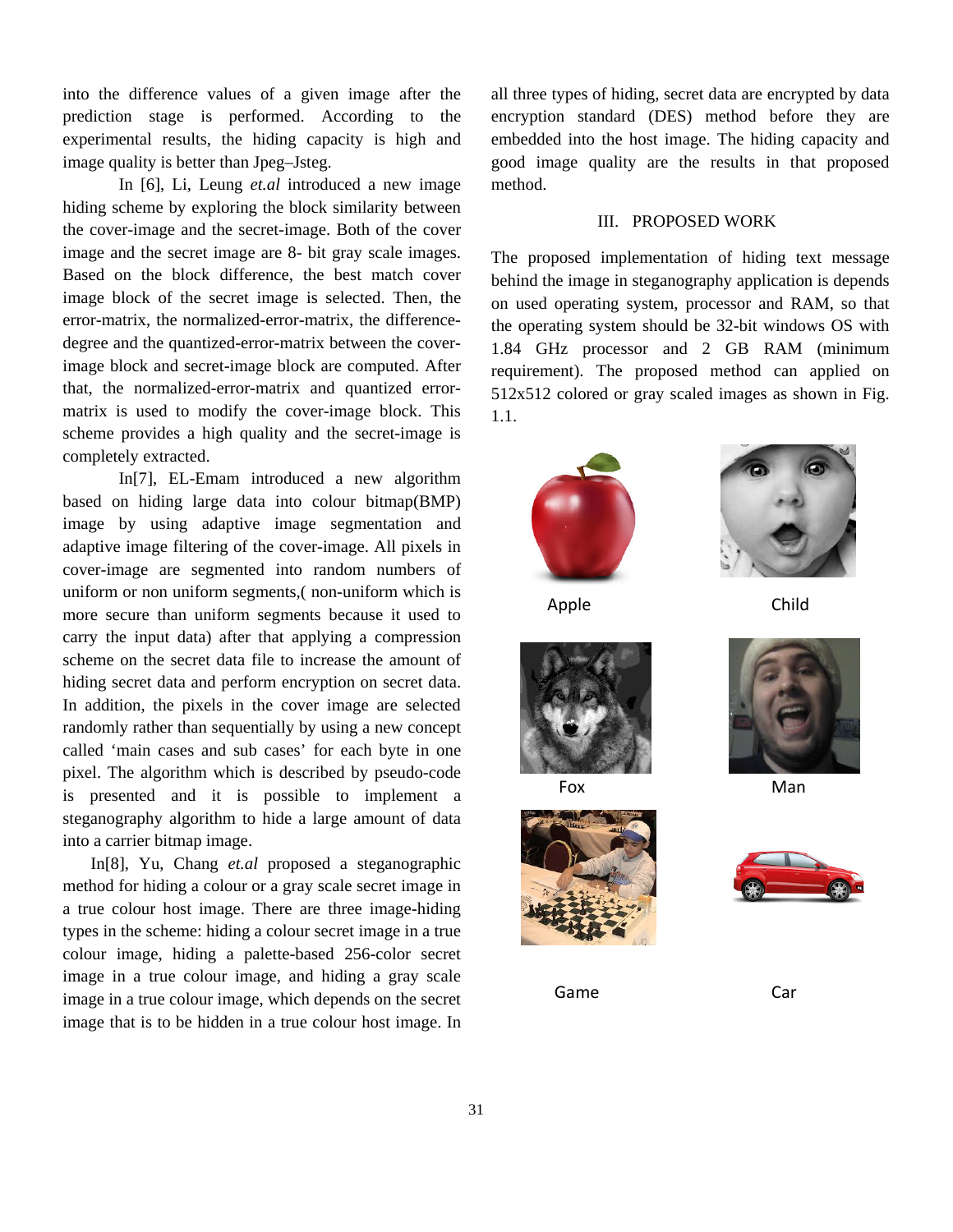into the difference values of a given image after the prediction stage is performed. According to the experimental results, the hiding capacity is high and image quality is better than Jpeg–Jsteg.

In [6], Li, Leung *et.al* introduced a new image hiding scheme by exploring the block similarity between the cover-image and the secret-image. Both of the cover image and the secret image are 8- bit gray scale images. Based on the block difference, the best match cover image block of the secret image is selected. Then, the error-matrix, the normalized-error-matrix, the differencedegree and the quantized-error-matrix between the coverimage block and secret-image block are computed. After that, the normalized-error-matrix and quantized errormatrix is used to modify the cover-image block. This scheme provides a high quality and the secret-image is completely extracted.

In[7], EL-Emam introduced a new algorithm based on hiding large data into colour bitmap(BMP) image by using adaptive image segmentation and adaptive image filtering of the cover-image. All pixels in cover-image are segmented into random numbers of uniform or non uniform segments,( non-uniform which is more secure than uniform segments because it used to carry the input data) after that applying a compression scheme on the secret data file to increase the amount of hiding secret data and perform encryption on secret data. In addition, the pixels in the cover image are selected randomly rather than sequentially by using a new concept called 'main cases and sub cases' for each byte in one pixel. The algorithm which is described by pseudo-code is presented and it is possible to implement a steganography algorithm to hide a large amount of data into a carrier bitmap image.

In[8], Yu, Chang *et.al* proposed a steganographic method for hiding a colour or a gray scale secret image in a true colour host image. There are three image-hiding types in the scheme: hiding a colour secret image in a true colour image, hiding a palette-based 256-color secret image in a true colour image, and hiding a gray scale image in a true colour image, which depends on the secret image that is to be hidden in a true colour host image. In

all three types of hiding, secret data are encrypted by data encryption standard (DES) method before they are embedded into the host image. The hiding capacity and good image quality are the results in that proposed method.

#### III. PROPOSED WORK

The proposed implementation of hiding text message behind the image in steganography application is depends on used operating system, processor and RAM, so that the operating system should be 32-bit windows OS with 1.84 GHz processor and 2 GB RAM (minimum requirement). The proposed method can applied on 512x512 colored or gray scaled images as shown in Fig. 1.1.



Apple Child









Game Car



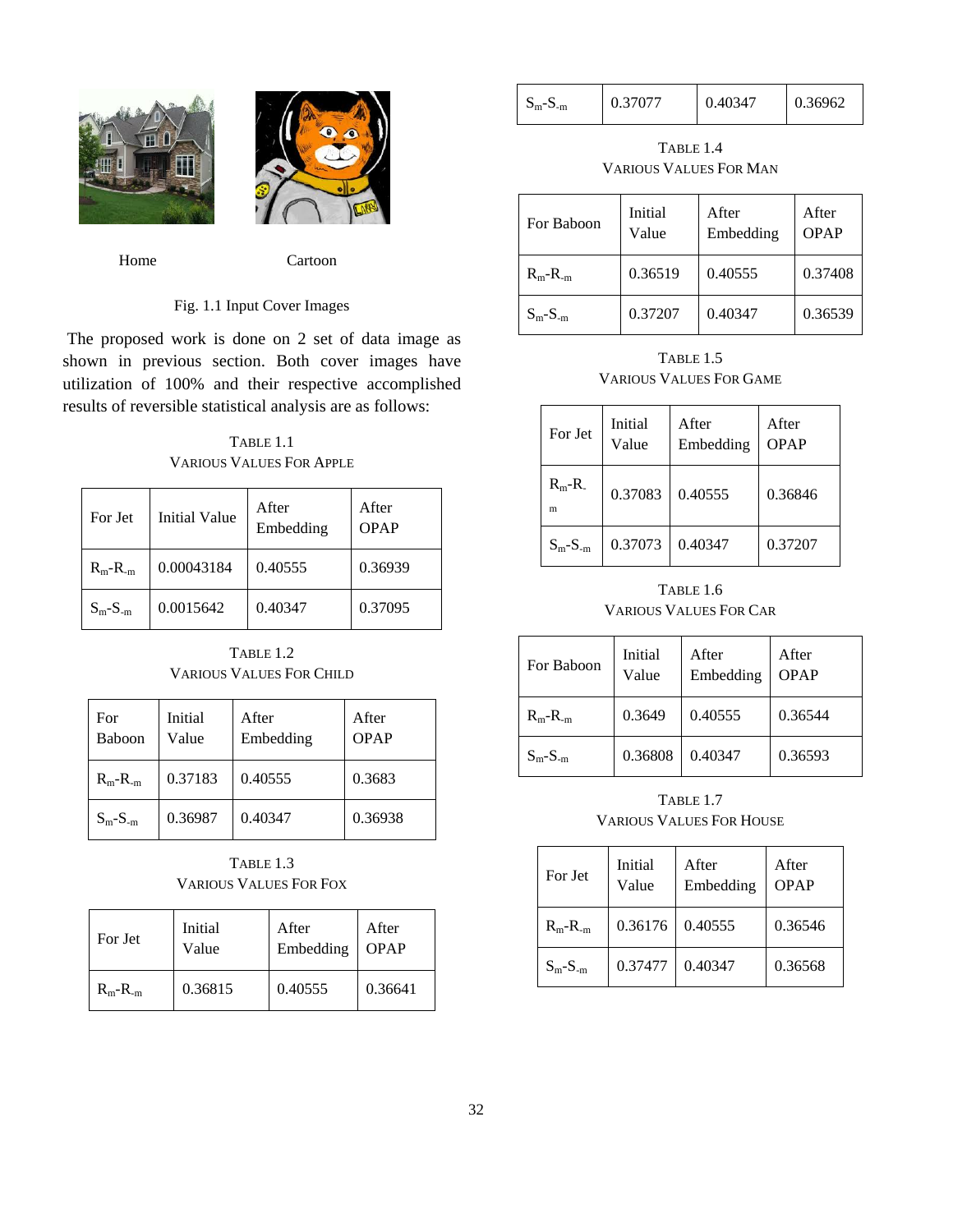



Home Cartoon

## Fig. 1.1 Input Cover Images

 The proposed work is done on 2 set of data image as shown in previous section. Both cover images have utilization of 100% and their respective accomplished results of reversible statistical analysis are as follows:

TABLE 1.1 VARIOUS VALUES FOR APPLE

| For Jet      | Initial Value | After<br>Embedding | After<br>OPAP |
|--------------|---------------|--------------------|---------------|
| $R_m - R_m$  | 0.00043184    | 0.40555            | 0.36939       |
| $S_m-S_{-m}$ | 0.0015642     | 0.40347            | 0.37095       |

TABLE 1.2 VARIOUS VALUES FOR CHILD

| For<br>Baboon | Initial<br>Value | After<br>Embedding | After<br><b>OPAP</b> |
|---------------|------------------|--------------------|----------------------|
| $R_m - R_m$   | 0.37183          | 0.40555            | 0.3683               |
| $S_m-S_{-m}$  | 0.36987          | 0.40347            | 0.36938              |

TABLE 1.3 VARIOUS VALUES FOR FOX

| For Jet     | Initial | After     | After       |
|-------------|---------|-----------|-------------|
|             | Value   | Embedding | <b>OPAP</b> |
| $R_m - R_m$ | 0.36815 | 0.40555   | 0.36641     |

| $S_m-S_{-m}$ | 0.37077<br>0.40347 | 0.36962 |
|--------------|--------------------|---------|
|--------------|--------------------|---------|

TABLE 1.4 VARIOUS VALUES FOR MAN

| For Baboon   | Initial<br>Value | After<br>Embedding | After<br>OPAP |
|--------------|------------------|--------------------|---------------|
| $R_m - R_m$  | 0.36519          | 0.40555            | 0.37408       |
| $S_m-S_{-m}$ | 0.37207          | 0.40347            | 0.36539       |

TABLE 1.5 VARIOUS VALUES FOR GAME

| For Jet      | Initial<br>Value | After<br>Embedding | After<br><b>OPAP</b> |
|--------------|------------------|--------------------|----------------------|
| $R_m-R$<br>m | 0.37083          | 0.40555            | 0.36846              |
| $S_m-S_{-m}$ | 0.37073          | 0.40347            | 0.37207              |

TABLE 1.6 VARIOUS VALUES FOR CAR

| For Baboon   | Initial<br>Value | After<br>Embedding | After<br><b>OPAP</b> |
|--------------|------------------|--------------------|----------------------|
| $R_m - R_m$  | 0.3649           | 0.40555            | 0.36544              |
| $S_m-S_{-m}$ | 0.36808          | 0.40347            | 0.36593              |

TABLE 1.7 VARIOUS VALUES FOR HOUSE

| For Jet      | Initial<br>Value | After<br>Embedding | After<br><b>OPAP</b> |
|--------------|------------------|--------------------|----------------------|
| $R_m - R_m$  | 0.36176          | 0.40555            | 0.36546              |
| $S_m-S_{-m}$ | 0.37477          | 0.40347            | 0.36568              |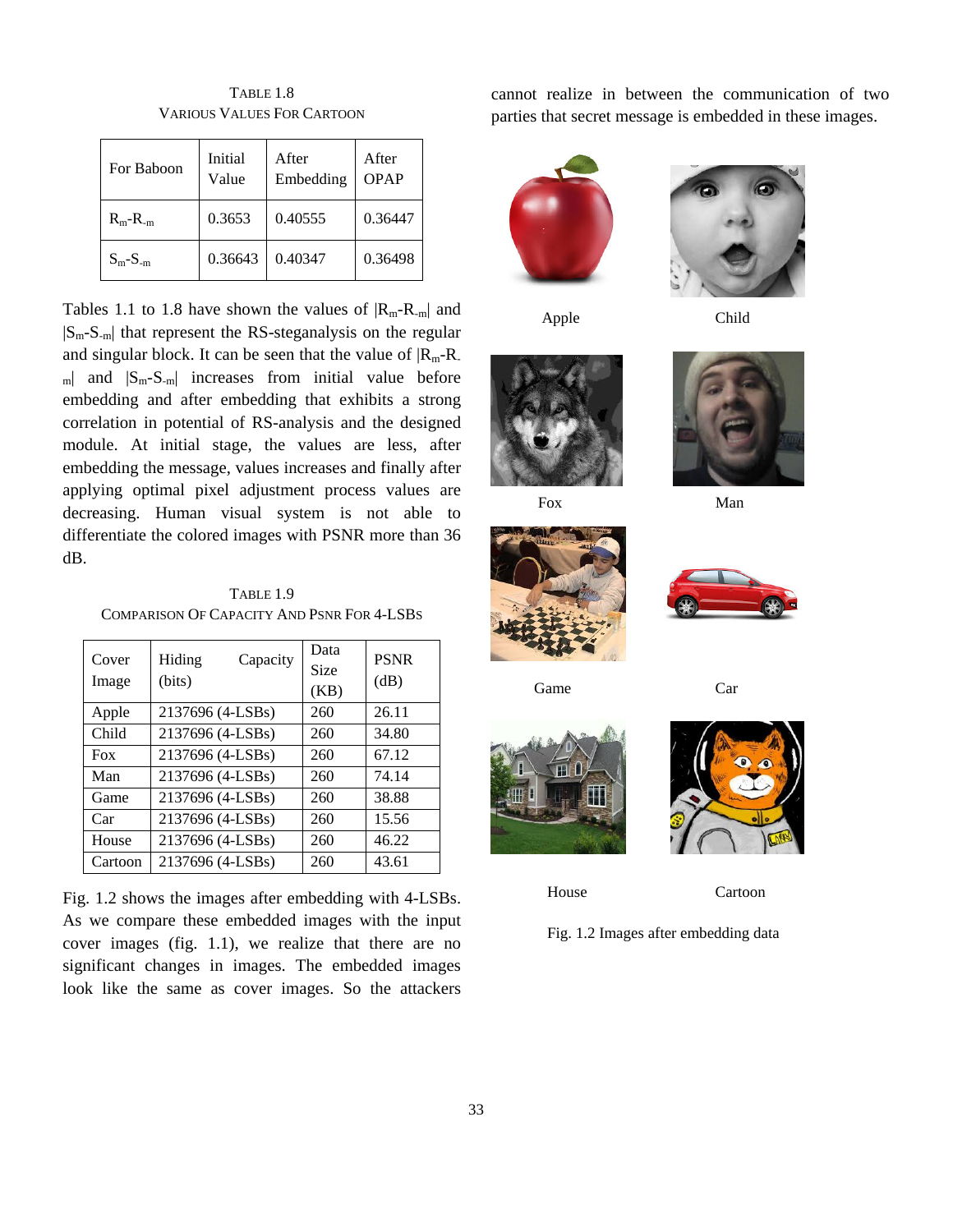| For Baboon   | Initial<br>Value | After<br>Embedding | After<br><b>OPAP</b> |
|--------------|------------------|--------------------|----------------------|
| $R_m - R_m$  | 0.3653           | 0.40555            | 0.36447              |
| $S_m-S_{-m}$ | 0.36643          | 0.40347            | 0.36498              |

TABLE 1.8 VARIOUS VALUES FOR CARTOON

Tables 1.1 to 1.8 have shown the values of  $|R_m-R_m|$  and |Sm-S-m| that represent the RS-steganalysis on the regular and singular block. It can be seen that the value of  $|R_{m}-R_{-}|$  $_{\text{m}}$  and  $|S_{\text{m}}-S_{\text{-m}}|$  increases from initial value before embedding and after embedding that exhibits a strong correlation in potential of RS-analysis and the designed module. At initial stage, the values are less, after embedding the message, values increases and finally after applying optimal pixel adjustment process values are decreasing. Human visual system is not able to differentiate the colored images with PSNR more than 36 dB.

TABLE 1.9 COMPARISON OF CAPACITY AND PSNR FOR 4-LSBS

| Cover<br>Image | Hiding<br>Capacity<br>(bits) | Data<br>Size<br>(KB) | <b>PSNR</b><br>(dB) |
|----------------|------------------------------|----------------------|---------------------|
| Apple          | 2137696 (4-LSBs)             | 260                  | 26.11               |
| Child          | 2137696 (4-LSBs)             | 260                  | 34.80               |
| Fox            | 2137696 (4-LSBs)             | 260                  | 67.12               |
| Man            | 2137696 (4-LSBs)             | 260                  | 74.14               |
| Game           | 2137696 (4-LSBs)             | 260                  | 38.88               |
| Car            | 2137696 (4-LSBs)             | 260                  | 15.56               |
| House          | 2137696 (4-LSBs)             | 260                  | 46.22               |
| Cartoon        | 2137696 (4-LSBs)             | 260                  | 43.61               |

Fig. 1.2 shows the images after embedding with 4-LSBs. As we compare these embedded images with the input cover images (fig. 1.1), we realize that there are no significant changes in images. The embedded images look like the same as cover images. So the attackers cannot realize in between the communication of two parties that secret message is embedded in these images.



Apple Child













Game Car



House Cartoon

Fig. 1.2 Images after embedding data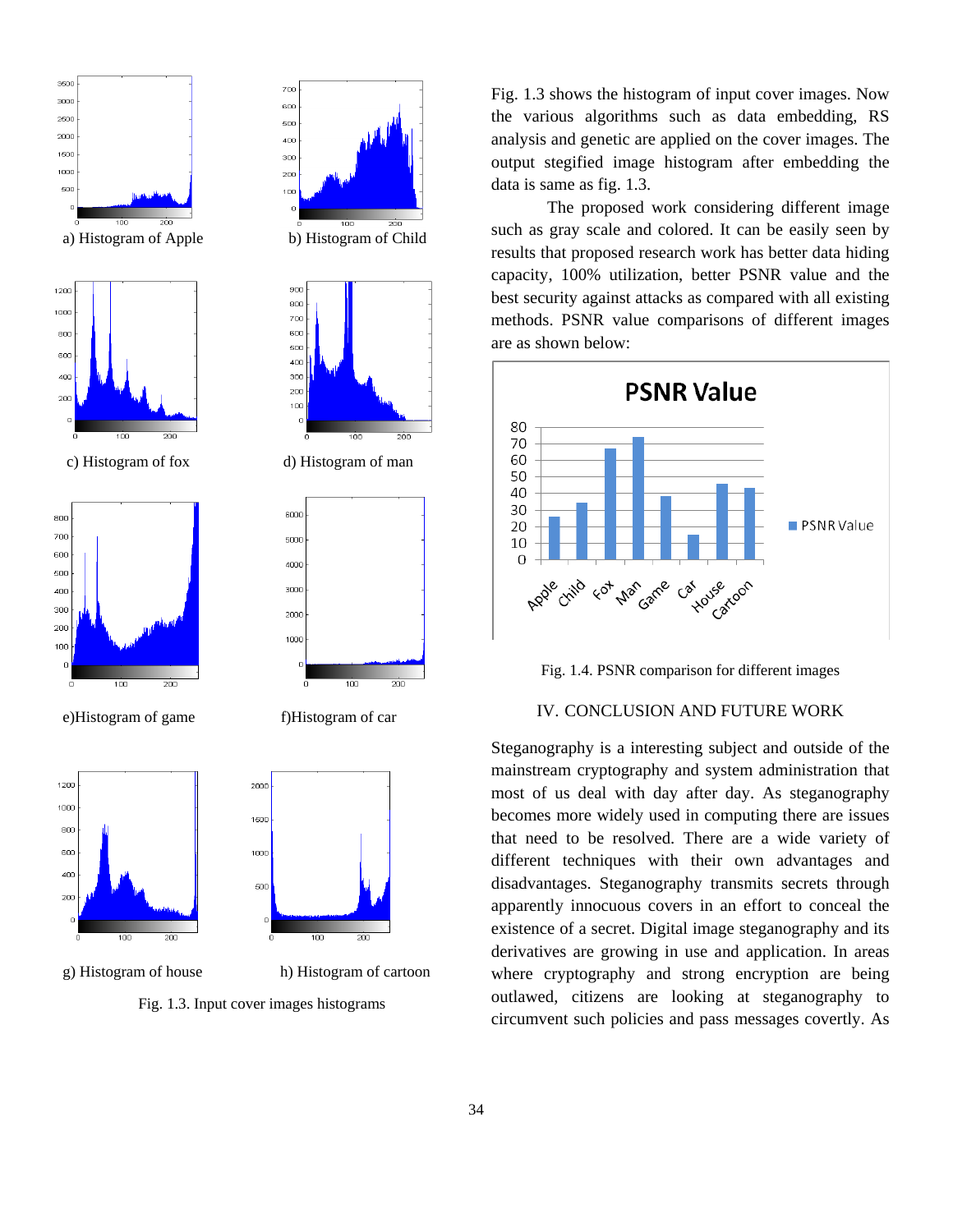

g) Histogram of house h) Histogram of cartoon

Fig. 1.3. Input cover images histograms

Fig. 1.3 shows the histogram of input cover images. Now the various algorithms such as data embedding, RS analysis and genetic are applied on the cover images. The output stegified image histogram after embedding the data is same as fig. 1.3.

The proposed work considering different image such as gray scale and colored. It can be easily seen by results that proposed research work has better data hiding capacity, 100% utilization, better PSNR value and the best security against attacks as compared with all existing methods. PSNR value comparisons of different images are as shown below:



Fig. 1.4. PSNR comparison for different images

# IV. CONCLUSION AND FUTURE WORK

Steganography is a interesting subject and outside of the mainstream cryptography and system administration that most of us deal with day after day. As steganography becomes more widely used in computing there are issues that need to be resolved. There are a wide variety of different techniques with their own advantages and disadvantages. Steganography transmits secrets through apparently innocuous covers in an effort to conceal the existence of a secret. Digital image steganography and its derivatives are growing in use and application. In areas where cryptography and strong encryption are being outlawed, citizens are looking at steganography to circumvent such policies and pass messages covertly. As